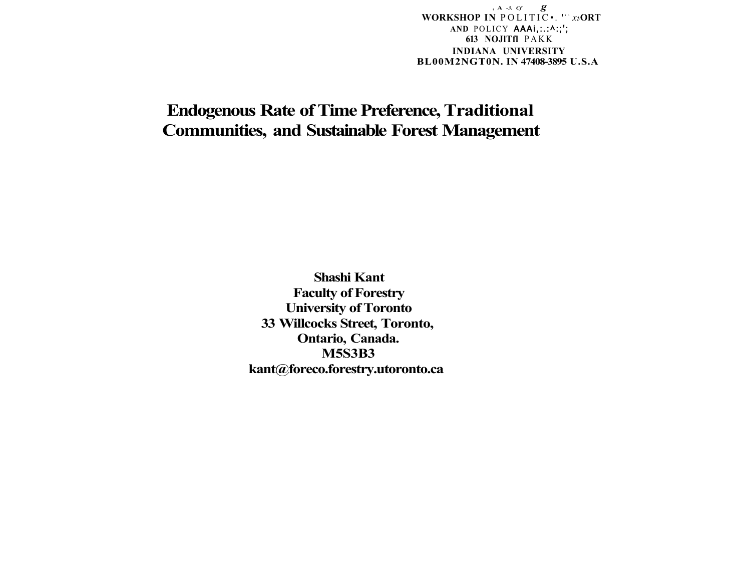**, A** *-3. Cf g*  **WORKSHOP IN POLITIC •.** '" x*i***ORT AND** POLICY **AAAi,:.:^:;'; 613 NOJlTfl** PAK K **INDIANA UNIVERSITY BL00M2NGT0N. IN 47408-3895 U.S.A** 

# **Endogenous Rate of Time Preference, Traditional Communities, and Sustainable Forest Management**

**Shashi Kant Faculty of Forestry University of Toronto 33 Willcocks Street, Toronto, Ontario, Canada. M5S3B3 [kant@foreco.forestry.utoronto.ca](mailto:kant@foreco.forestry.utoronto.ca)**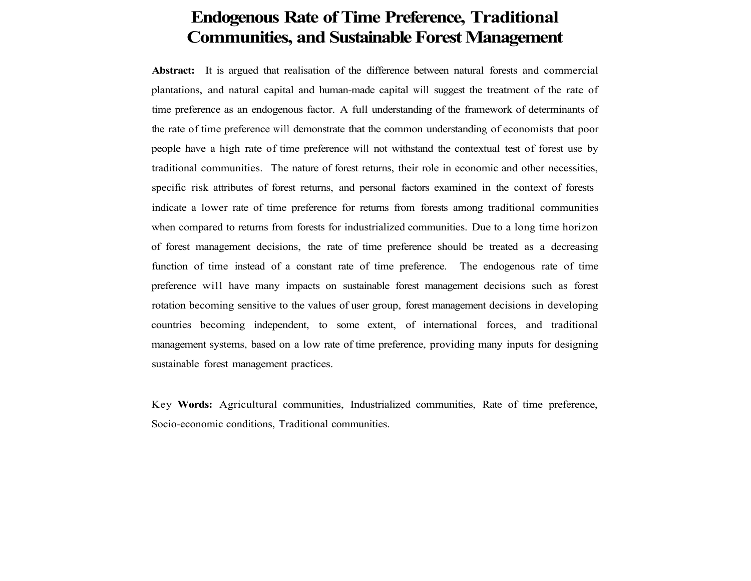# **Endogenous Rate of Time Preference, Traditional Communities, and Sustainable Forest Management**

**Abstract:** It is argued that realisation of the difference between natural forests and commercial plantations, and natural capital and human-made capital will suggest the treatment of the rate of time preference as an endogenous factor. A full understanding of the framework of determinants of the rate of time preference will demonstrate that the common understanding of economists that poor people have a high rate of time preference will not withstand the contextual test of forest use by traditional communities. The nature of forest returns, their role in economic and other necessities, specific risk attributes of forest returns, and personal factors examined in the context of forests indicate a lower rate of time preference for returns from forests among traditional communities when compared to returns from forests for industrialized communities. Due to a long time horizon of forest management decisions, the rate of time preference should be treated as a decreasing function of time instead of a constant rate of time preference. The endogenous rate of time preference will have many impacts on sustainable forest management decisions such as forest rotation becoming sensitive to the values of user group, forest management decisions in developing countries becoming independent, to some extent, of international forces, and traditional management systems, based on a low rate of time preference, providing many inputs for designing sustainable forest management practices.

Key **Words:** Agricultural communities, Industrialized communities, Rate of time preference, Socio-economic conditions, Traditional communities.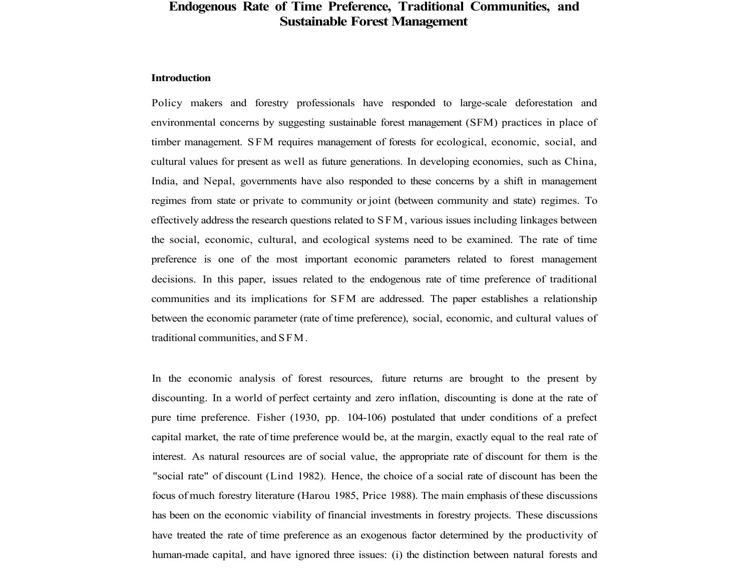# **Endogenous Rate of Time Preference, Traditional Communities, and Sustainable Forest Management**

### **Introduction**

Policy makers and forestry professionals have responded to large-scale deforestation and environmental concerns by suggesting sustainable forest management (SFM) practices in place of timber management. SFM requires management of forests for ecological, economic, social, and cultural values for present as well as future generations. In developing economies, such as China, India, and Nepal, governments have also responded to these concerns by a shift in management regimes from state or private to community or joint (between community and state) regimes. To effectively address the research questions related to SFM, various issues including linkages between the social, economic, cultural, and ecological systems need to be examined. The rate of time preference is one of the most important economic parameters related to forest management decisions. In this paper, issues related to the endogenous rate of time preference of traditional communities and its implications for SFM are addressed. The paper establishes a relationship between the economic parameter (rate of time preference), social, economic, and cultural values of traditional communities, and SFM.

In the economic analysis of forest resources, future returns are brought to the present by discounting. In a world of perfect certainty and zero inflation, discounting is done at the rate of pure time preference. Fisher (1930, pp. 104-106) postulated that under conditions of a prefect capital market, the rate of time preference would be, at the margin, exactly equal to the real rate of interest. As natural resources are of social value, the appropriate rate of discount for them is the "social rate" of discount (Lind 1982). Hence, the choice of a social rate of discount has been the focus of much forestry literature (Harou 1985, Price 1988). The main emphasis of these discussions has been on the economic viability of financial investments in forestry projects. These discussions have treated the rate of time preference as an exogenous factor determined by the productivity of human-made capital, and have ignored three issues: (i) the distinction between natural forests and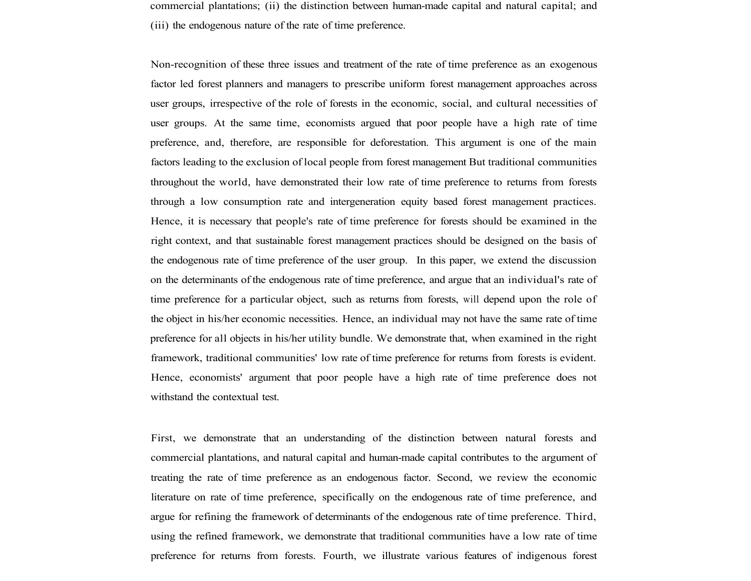commercial plantations; (ii) the distinction between human-made capital and natural capital; and (iii) the endogenous nature of the rate of time preference.

Non-recognition of these three issues and treatment of the rate of time preference as an exogenous factor led forest planners and managers to prescribe uniform forest management approaches across user groups, irrespective of the role of forests in the economic, social, and cultural necessities of user groups. At the same time, economists argued that poor people have a high rate of time preference, and, therefore, are responsible for deforestation. This argument is one of the main factors leading to the exclusion of local people from forest management But traditional communities throughout the world, have demonstrated their low rate of time preference to returns from forests through a low consumption rate and intergeneration equity based forest management practices. Hence, it is necessary that people's rate of time preference for forests should be examined in the right context, and that sustainable forest management practices should be designed on the basis of the endogenous rate of time preference of the user group. In this paper, we extend the discussion on the determinants of the endogenous rate of time preference, and argue that an individual's rate of time preference for a particular object, such as returns from forests, will depend upon the role of the object in his/her economic necessities. Hence, an individual may not have the same rate of time preference for all objects in his/her utility bundle. We demonstrate that, when examined in the right framework, traditional communities' low rate of time preference for returns from forests is evident. Hence, economists' argument that poor people have a high rate of time preference does not withstand the contextual test.

First, we demonstrate that an understanding of the distinction between natural forests and commercial plantations, and natural capital and human-made capital contributes to the argument of treating the rate of time preference as an endogenous factor. Second, we review the economic literature on rate of time preference, specifically on the endogenous rate of time preference, and argue for refining the framework of determinants of the endogenous rate of time preference. Third, using the refined framework, we demonstrate that traditional communities have a low rate of time preference for returns from forests. Fourth, we illustrate various features of indigenous forest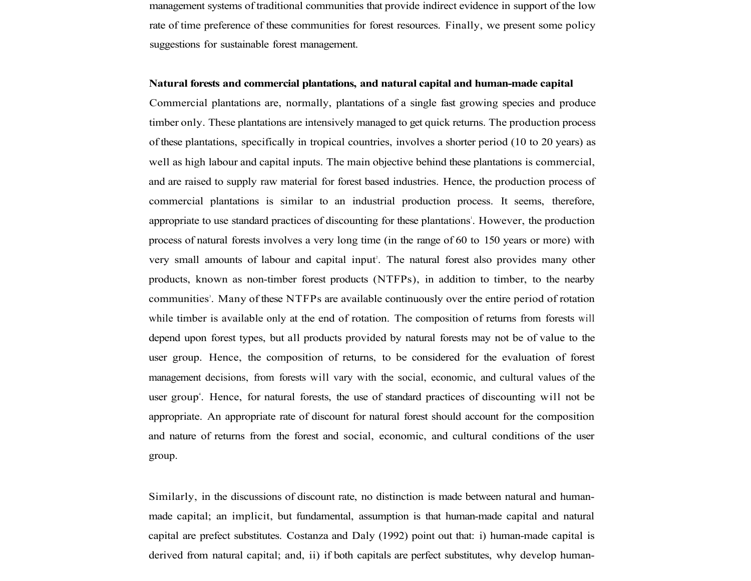management systems of traditional communities that provide indirect evidence in support of the low rate of time preference of these communities for forest resources. Finally, we present some policy suggestions for sustainable forest management.

#### **Natural forests and commercial plantations, and natural capital and human-made capital**

Commercial plantations are, normally, plantations of a single fast growing species and produce timber only. These plantations are intensively managed to get quick returns. The production process of these plantations, specifically in tropical countries, involves a shorter period (10 to 20 years) as well as high labour and capital inputs. The main objective behind these plantations is commercial, and are raised to supply raw material for forest based industries. Hence, the production process of commercial plantations is similar to an industrial production process. It seems, therefore, appropriate to use standard practices of discounting for these plantations'. However, the production process of natural forests involves a very long time (in the range of 60 to 150 years or more) with very small amounts of labour and capital input<sup>2</sup>. The natural forest also provides many other products, known as non-timber forest products (NTFPs), in addition to timber, to the nearby communities<sup>3</sup>. Many of these NTFPs are available continuously over the entire period of rotation while timber is available only at the end of rotation. The composition of returns from forests will depend upon forest types, but all products provided by natural forests may not be of value to the user group. Hence, the composition of returns, to be considered for the evaluation of forest management decisions, from forests will vary with the social, economic, and cultural values of the user group<sup>4</sup>. Hence, for natural forests, the use of standard practices of discounting will not be appropriate. An appropriate rate of discount for natural forest should account for the composition and nature of returns from the forest and social, economic, and cultural conditions of the user group.

Similarly, in the discussions of discount rate, no distinction is made between natural and humanmade capital; an implicit, but fundamental, assumption is that human-made capital and natural capital are prefect substitutes. Costanza and Daly (1992) point out that: i) human-made capital is derived from natural capital; and, ii) if both capitals are perfect substitutes, why develop human-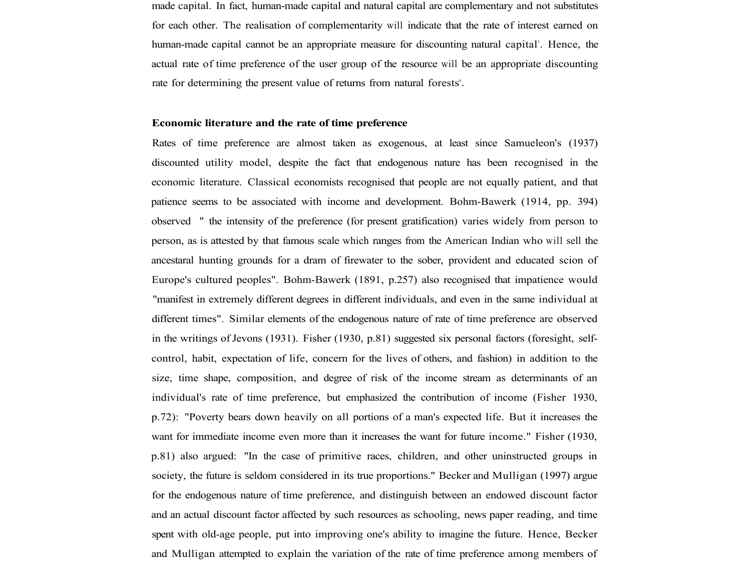made capital. In fact, human-made capital and natural capital are complementary and not substitutes for each other. The realisation of complementarity will indicate that the rate of interest earned on human-made capital cannot be an appropriate measure for discounting natural capital<sup>5</sup>. Hence, the actual rate of time preference of the user group of the resource will be an appropriate discounting rate for determining the present value of returns from natural forests<sup>6</sup>.

#### **Economic literature and the rate of time preference**

Rates of time preference are almost taken as exogenous, at least since Samueleon's (1937) discounted utility model, despite the fact that endogenous nature has been recognised in the economic literature. Classical economists recognised that people are not equally patient, and that patience seems to be associated with income and development. Bohm-Bawerk (1914, pp. 394) observed " the intensity of the preference (for present gratification) varies widely from person to person, as is attested by that famous scale which ranges from the American Indian who will sell the ancestaral hunting grounds for a dram of firewater to the sober, provident and educated scion of Europe's cultured peoples". Bohm-Bawerk (1891, p.257) also recognised that impatience would "manifest in extremely different degrees in different individuals, and even in the same individual at different times". Similar elements of the endogenous nature of rate of time preference are observed in the writings of Jevons (1931). Fisher (1930, p.81) suggested six personal factors (foresight, selfcontrol, habit, expectation of life, concern for the lives of others, and fashion) in addition to the size, time shape, composition, and degree of risk of the income stream as determinants of an individual's rate of time preference, but emphasized the contribution of income (Fisher 1930, p.72): "Poverty bears down heavily on all portions of a man's expected life. But it increases the want for immediate income even more than it increases the want for future income." Fisher (1930, p.81) also argued: "In the case of primitive races, children, and other uninstructed groups in society, the future is seldom considered in its true proportions." Becker and Mulligan (1997) argue for the endogenous nature of time preference, and distinguish between an endowed discount factor and an actual discount factor affected by such resources as schooling, news paper reading, and time spent with old-age people, put into improving one's ability to imagine the future. Hence, Becker and Mulligan attempted to explain the variation of the rate of time preference among members of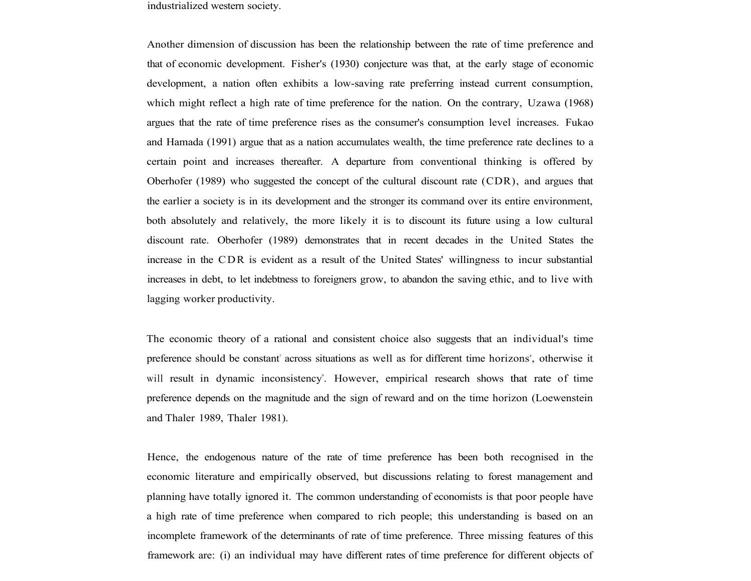industrialized western society.

Another dimension of discussion has been the relationship between the rate of time preference and that of economic development. Fisher's (1930) conjecture was that, at the early stage of economic development, a nation often exhibits a low-saving rate preferring instead current consumption, which might reflect a high rate of time preference for the nation. On the contrary, Uzawa (1968) argues that the rate of time preference rises as the consumer's consumption level increases. Fukao and Hamada (1991) argue that as a nation accumulates wealth, the time preference rate declines to a certain point and increases thereafter. A departure from conventional thinking is offered by Oberhofer (1989) who suggested the concept of the cultural discount rate (CDR), and argues that the earlier a society is in its development and the stronger its command over its entire environment, both absolutely and relatively, the more likely it is to discount its future using a low cultural discount rate. Oberhofer (1989) demonstrates that in recent decades in the United States the increase in the CDR is evident as a result of the United States' willingness to incur substantial increases in debt, to let indebtness to foreigners grow, to abandon the saving ethic, and to live with lagging worker productivity.

The economic theory of a rational and consistent choice also suggests that an individual's time preference should be constant' across situations as well as for different time horizons', otherwise it will result in dynamic inconsistency<sup>o</sup>. However, empirical research shows that rate of time preference depends on the magnitude and the sign of reward and on the time horizon (Loewenstein and Thaler 1989, Thaler 1981).

Hence, the endogenous nature of the rate of time preference has been both recognised in the economic literature and empirically observed, but discussions relating to forest management and planning have totally ignored it. The common understanding of economists is that poor people have a high rate of time preference when compared to rich people; this understanding is based on an incomplete framework of the determinants of rate of time preference. Three missing features of this framework are: (i) an individual may have different rates of time preference for different objects of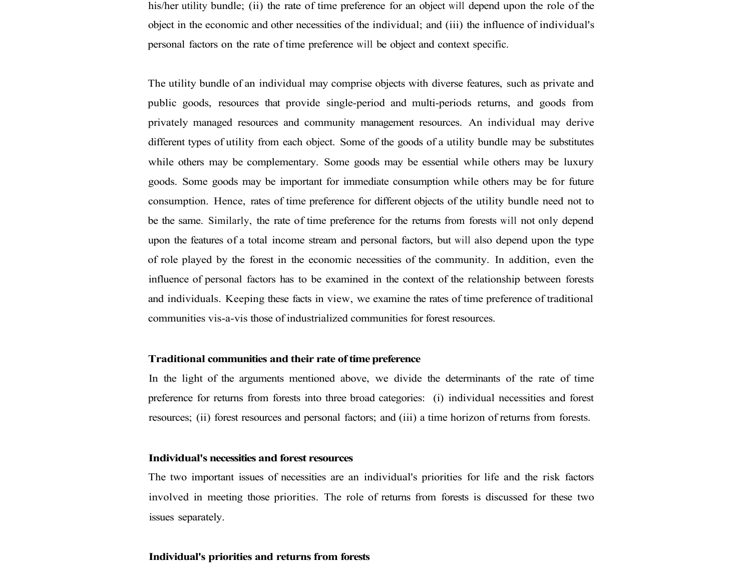his/her utility bundle; (ii) the rate of time preference for an object will depend upon the role of the object in the economic and other necessities of the individual; and (iii) the influence of individual's personal factors on the rate of time preference will be object and context specific.

The utility bundle of an individual may comprise objects with diverse features, such as private and public goods, resources that provide single-period and multi-periods returns, and goods from privately managed resources and community management resources. An individual may derive different types of utility from each object. Some of the goods of a utility bundle may be substitutes while others may be complementary. Some goods may be essential while others may be luxury goods. Some goods may be important for immediate consumption while others may be for future consumption. Hence, rates of time preference for different objects of the utility bundle need not to be the same. Similarly, the rate of time preference for the returns from forests will not only depend upon the features of a total income stream and personal factors, but will also depend upon the type of role played by the forest in the economic necessities of the community. In addition, even the influence of personal factors has to be examined in the context of the relationship between forests and individuals. Keeping these facts in view, we examine the rates of time preference of traditional communities vis-a-vis those of industrialized communities for forest resources.

#### **Traditional communities and their rate of time preference**

In the light of the arguments mentioned above, we divide the determinants of the rate of time preference for returns from forests into three broad categories: (i) individual necessities and forest resources; (ii) forest resources and personal factors; and (iii) a time horizon of returns from forests.

#### **Individual's necessities and forest resources**

The two important issues of necessities are an individual's priorities for life and the risk factors involved in meeting those priorities. The role of returns from forests is discussed for these two issues separately.

#### **Individual's priorities and returns from forests**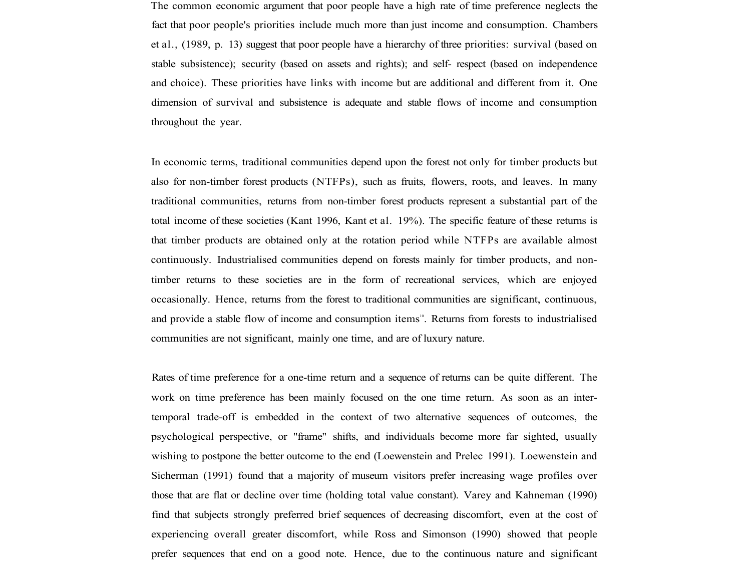The common economic argument that poor people have a high rate of time preference neglects the fact that poor people's priorities include much more than just income and consumption. Chambers et al., (1989, p. 13) suggest that poor people have a hierarchy of three priorities: survival (based on stable subsistence); security (based on assets and rights); and self- respect (based on independence and choice). These priorities have links with income but are additional and different from it. One dimension of survival and subsistence is adequate and stable flows of income and consumption throughout the year.

In economic terms, traditional communities depend upon the forest not only for timber products but also for non-timber forest products (NTFPs), such as fruits, flowers, roots, and leaves. In many traditional communities, returns from non-timber forest products represent a substantial part of the total income of these societies (Kant 1996, Kant et al. 19%). The specific feature of these returns is that timber products are obtained only at the rotation period while NTFPs are available almost continuously. Industrialised communities depend on forests mainly for timber products, and nontimber returns to these societies are in the form of recreational services, which are enjoyed occasionally. Hence, returns from the forest to traditional communities are significant, continuous, and provide a stable flow of income and consumption items<sup>10</sup>. Returns from forests to industrialised communities are not significant, mainly one time, and are of luxury nature.

Rates of time preference for a one-time return and a sequence of returns can be quite different. The work on time preference has been mainly focused on the one time return. As soon as an intertemporal trade-off is embedded in the context of two alternative sequences of outcomes, the psychological perspective, or "frame" shifts, and individuals become more far sighted, usually wishing to postpone the better outcome to the end (Loewenstein and Prelec 1991). Loewenstein and Sicherman (1991) found that a majority of museum visitors prefer increasing wage profiles over those that are flat or decline over time (holding total value constant). Varey and Kahneman (1990) find that subjects strongly preferred brief sequences of decreasing discomfort, even at the cost of experiencing overall greater discomfort, while Ross and Simonson (1990) showed that people prefer sequences that end on a good note. Hence, due to the continuous nature and significant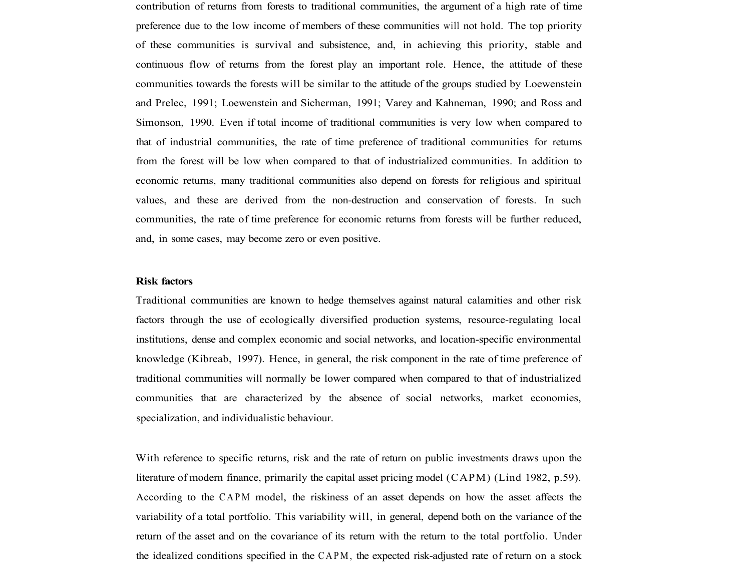contribution of returns from forests to traditional communities, the argument of a high rate of time preference due to the low income of members of these communities will not hold. The top priority of these communities is survival and subsistence, and, in achieving this priority, stable and continuous flow of returns from the forest play an important role. Hence, the attitude of these communities towards the forests will be similar to the attitude of the groups studied by Loewenstein and Prelec, 1991; Loewenstein and Sicherman, 1991; Varey and Kahneman, 1990; and Ross and Simonson, 1990. Even if total income of traditional communities is very low when compared to that of industrial communities, the rate of time preference of traditional communities for returns from the forest will be low when compared to that of industrialized communities. In addition to economic returns, many traditional communities also depend on forests for religious and spiritual values, and these are derived from the non-destruction and conservation of forests. In such communities, the rate of time preference for economic returns from forests will be further reduced, and, in some cases, may become zero or even positive.

## **Risk factors**

Traditional communities are known to hedge themselves against natural calamities and other risk factors through the use of ecologically diversified production systems, resource-regulating local institutions, dense and complex economic and social networks, and location-specific environmental knowledge (Kibreab, 1997). Hence, in general, the risk component in the rate of time preference of traditional communities will normally be lower compared when compared to that of industrialized communities that are characterized by the absence of social networks, market economies, specialization, and individualistic behaviour.

With reference to specific returns, risk and the rate of return on public investments draws upon the literature of modern finance, primarily the capital asset pricing model (CAPM) (Lind 1982, p.59). According to the CAPM model, the riskiness of an asset depends on how the asset affects the variability of a total portfolio. This variability will, in general, depend both on the variance of the return of the asset and on the covariance of its return with the return to the total portfolio. Under the idealized conditions specified in the CAPM , the expected risk-adjusted rate of return on a stock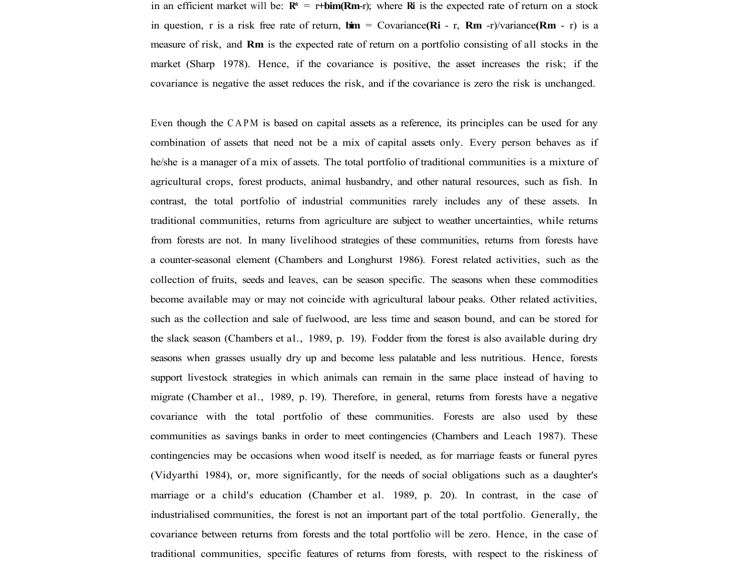in an efficient market will be:  $\mathbb{R}^* = r + \text{bin}(\mathbb{R}m-r)$ ; where **Ri** is the expected rate of return on a stock in question, r is a risk free rate of return, **bim** = Covariance**(Ri** - r, **Rm** -r)/variance**(Rm** - r) is a measure of risk, and **Rm** is the expected rate of return on a portfolio consisting of all stocks in the market (Sharp 1978). Hence, if the covariance is positive, the asset increases the risk; if the covariance is negative the asset reduces the risk, and if the covariance is zero the risk is unchanged.

Even though the CAPM is based on capital assets as a reference, its principles can be used for any combination of assets that need not be a mix of capital assets only. Every person behaves as if he/she is a manager of a mix of assets. The total portfolio of traditional communities is a mixture of agricultural crops, forest products, animal husbandry, and other natural resources, such as fish. In contrast, the total portfolio of industrial communities rarely includes any of these assets. In traditional communities, returns from agriculture are subject to weather uncertainties, while returns from forests are not. In many livelihood strategies of these communities, returns from forests have a counter-seasonal element (Chambers and Longhurst 1986). Forest related activities, such as the collection of fruits, seeds and leaves, can be season specific. The seasons when these commodities become available may or may not coincide with agricultural labour peaks. Other related activities, such as the collection and sale of fuelwood, are less time and season bound, and can be stored for the slack season (Chambers et al., 1989, p. 19). Fodder from the forest is also available during dry seasons when grasses usually dry up and become less palatable and less nutritious. Hence, forests support livestock strategies in which animals can remain in the same place instead of having to migrate (Chamber et al., 1989, p. 19). Therefore, in general, returns from forests have a negative covariance with the total portfolio of these communities. Forests are also used by these communities as savings banks in order to meet contingencies (Chambers and Leach 1987). These contingencies may be occasions when wood itself is needed, as for marriage feasts or funeral pyres (Vidyarthi 1984), or, more significantly, for the needs of social obligations such as a daughter's marriage or a child's education (Chamber et al. 1989, p. 20). In contrast, in the case of industrialised communities, the forest is not an important part of the total portfolio. Generally, the covariance between returns from forests and the total portfolio will be zero. Hence, in the case of traditional communities, specific features of returns from forests, with respect to the riskiness of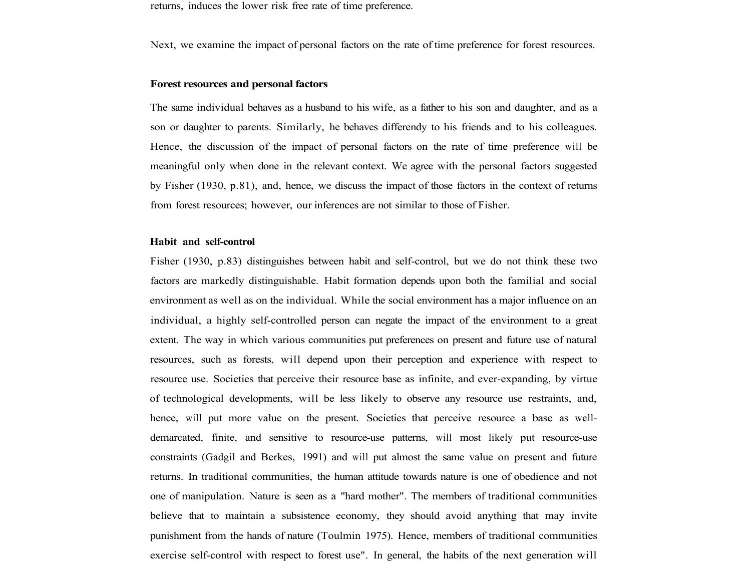returns, induces the lower risk free rate of time preference.

Next, we examine the impact of personal factors on the rate of time preference for forest resources.

#### **Forest resources and personal factors**

The same individual behaves as a husband to his wife, as a father to his son and daughter, and as a son or daughter to parents. Similarly, he behaves differendy to his friends and to his colleagues. Hence, the discussion of the impact of personal factors on the rate of time preference will be meaningful only when done in the relevant context. We agree with the personal factors suggested by Fisher (1930, p.81), and, hence, we discuss the impact of those factors in the context of returns from forest resources; however, our inferences are not similar to those of Fisher.

## **Habit and self-control**

Fisher (1930, p.83) distinguishes between habit and self-control, but we do not think these two factors are markedly distinguishable. Habit formation depends upon both the familial and social environment as well as on the individual. While the social environment has a major influence on an individual, a highly self-controlled person can negate the impact of the environment to a great extent. The way in which various communities put preferences on present and future use of natural resources, such as forests, will depend upon their perception and experience with respect to resource use. Societies that perceive their resource base as infinite, and ever-expanding, by virtue of technological developments, will be less likely to observe any resource use restraints, and, hence, will put more value on the present. Societies that perceive resource a base as welldemarcated, finite, and sensitive to resource-use patterns, will most likely put resource-use constraints (Gadgil and Berkes, 1991) and will put almost the same value on present and future returns. In traditional communities, the human attitude towards nature is one of obedience and not one of manipulation. Nature is seen as a "hard mother". The members of traditional communities believe that to maintain a subsistence economy, they should avoid anything that may invite punishment from the hands of nature (Toulmin 1975). Hence, members of traditional communities exercise self-control with respect to forest use". In general, the habits of the next generation will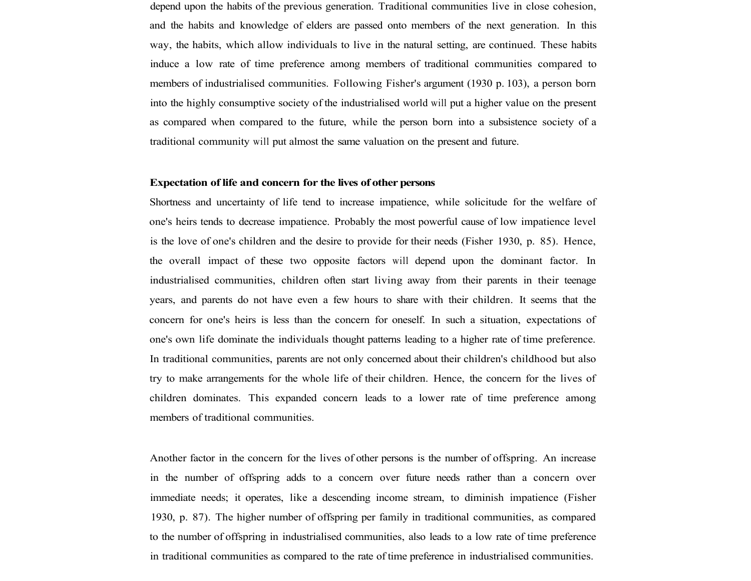depend upon the habits of the previous generation. Traditional communities live in close cohesion, and the habits and knowledge of elders are passed onto members of the next generation. In this way, the habits, which allow individuals to live in the natural setting, are continued. These habits induce a low rate of time preference among members of traditional communities compared to members of industrialised communities. Following Fisher's argument (1930 p. 103), a person born into the highly consumptive society of the industrialised world will put a higher value on the present as compared when compared to the future, while the person born into a subsistence society of a traditional community will put almost the same valuation on the present and future.

#### **Expectation of life and concern for the lives of other persons**

Shortness and uncertainty of life tend to increase impatience, while solicitude for the welfare of one's heirs tends to decrease impatience. Probably the most powerful cause of low impatience level is the love of one's children and the desire to provide for their needs (Fisher 1930, p. 85). Hence, the overall impact of these two opposite factors will depend upon the dominant factor. In industrialised communities, children often start living away from their parents in their teenage years, and parents do not have even a few hours to share with their children. It seems that the concern for one's heirs is less than the concern for oneself. In such a situation, expectations of one's own life dominate the individuals thought patterns leading to a higher rate of time preference. In traditional communities, parents are not only concerned about their children's childhood but also try to make arrangements for the whole life of their children. Hence, the concern for the lives of children dominates. This expanded concern leads to a lower rate of time preference among members of traditional communities.

Another factor in the concern for the lives of other persons is the number of offspring. An increase in the number of offspring adds to a concern over future needs rather than a concern over immediate needs; it operates, like a descending income stream, to diminish impatience (Fisher 1930, p. 87). The higher number of offspring per family in traditional communities, as compared to the number of offspring in industrialised communities, also leads to a low rate of time preference in traditional communities as compared to the rate of time preference in industrialised communities.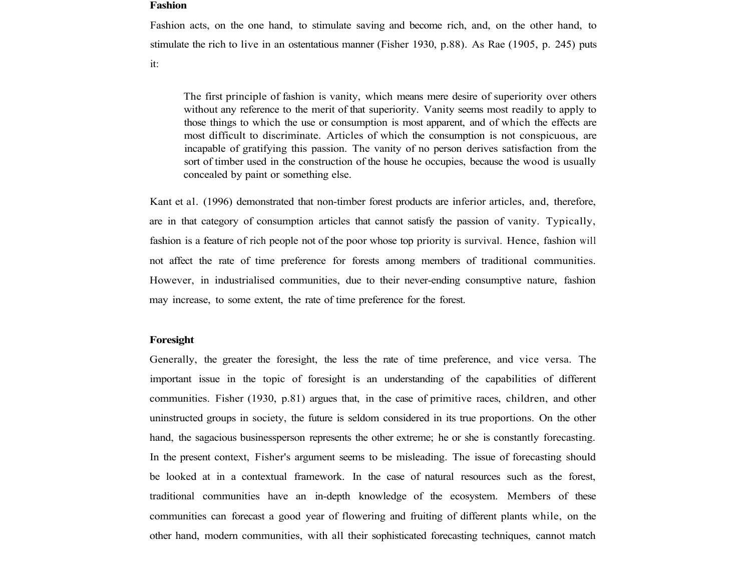#### **Fashion**

Fashion acts, on the one hand, to stimulate saving and become rich, and, on the other hand, to stimulate the rich to live in an ostentatious manner (Fisher 1930, p.88). As Rae (1905, p. 245) puts

it:

The first principle of fashion is vanity, which means mere desire of superiority over others without any reference to the merit of that superiority. Vanity seems most readily to apply to those things to which the use or consumption is most apparent, and of which the effects are most difficult to discriminate. Articles of which the consumption is not conspicuous, are incapable of gratifying this passion. The vanity of no person derives satisfaction from the sort of timber used in the construction of the house he occupies, because the wood is usually concealed by paint or something else.

Kant et al. (1996) demonstrated that non-timber forest products are inferior articles, and, therefore, are in that category of consumption articles that cannot satisfy the passion of vanity. Typically, fashion is a feature of rich people not of the poor whose top priority is survival. Hence, fashion will not affect the rate of time preference for forests among members of traditional communities. However, in industrialised communities, due to their never-ending consumptive nature, fashion may increase, to some extent, the rate of time preference for the forest.

#### **Foresight**

Generally, the greater the foresight, the less the rate of time preference, and vice versa. The important issue in the topic of foresight is an understanding of the capabilities of different communities. Fisher (1930, p.81) argues that, in the case of primitive races, children, and other uninstructed groups in society, the future is seldom considered in its true proportions. On the other hand, the sagacious businessperson represents the other extreme; he or she is constantly forecasting. In the present context, Fisher's argument seems to be misleading. The issue of forecasting should be looked at in a contextual framework. In the case of natural resources such as the forest, traditional communities have an in-depth knowledge of the ecosystem. Members of these communities can forecast a good year of flowering and fruiting of different plants while, on the other hand, modern communities, with all their sophisticated forecasting techniques, cannot match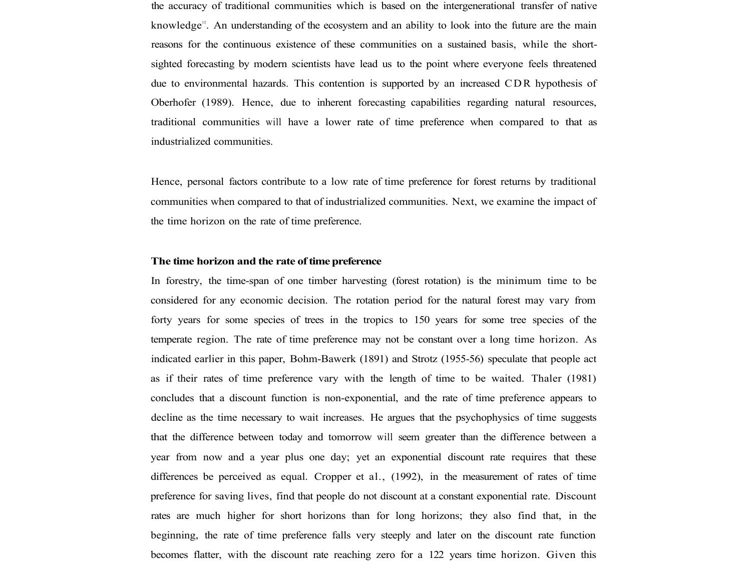the accuracy of traditional communities which is based on the intergenerational transfer of native knowledge<sup>12</sup>. An understanding of the ecosystem and an ability to look into the future are the main reasons for the continuous existence of these communities on a sustained basis, while the shortsighted forecasting by modern scientists have lead us to the point where everyone feels threatened due to environmental hazards. This contention is supported by an increased CDR hypothesis of Oberhofer (1989). Hence, due to inherent forecasting capabilities regarding natural resources, traditional communities will have a lower rate of time preference when compared to that as industrialized communities.

Hence, personal factors contribute to a low rate of time preference for forest returns by traditional communities when compared to that of industrialized communities. Next, we examine the impact of the time horizon on the rate of time preference.

#### **The time horizon and the rate of time preference**

In forestry, the time-span of one timber harvesting (forest rotation) is the minimum time to be considered for any economic decision. The rotation period for the natural forest may vary from forty years for some species of trees in the tropics to 150 years for some tree species of the temperate region. The rate of time preference may not be constant over a long time horizon. As indicated earlier in this paper, Bohm-Bawerk (1891) and Strotz (1955-56) speculate that people act as if their rates of time preference vary with the length of time to be waited. Thaler (1981) concludes that a discount function is non-exponential, and the rate of time preference appears to decline as the time necessary to wait increases. He argues that the psychophysics of time suggests that the difference between today and tomorrow will seem greater than the difference between a year from now and a year plus one day; yet an exponential discount rate requires that these differences be perceived as equal. Cropper et al., (1992), in the measurement of rates of time preference for saving lives, find that people do not discount at a constant exponential rate. Discount rates are much higher for short horizons than for long horizons; they also find that, in the beginning, the rate of time preference falls very steeply and later on the discount rate function becomes flatter, with the discount rate reaching zero for a 122 years time horizon. Given this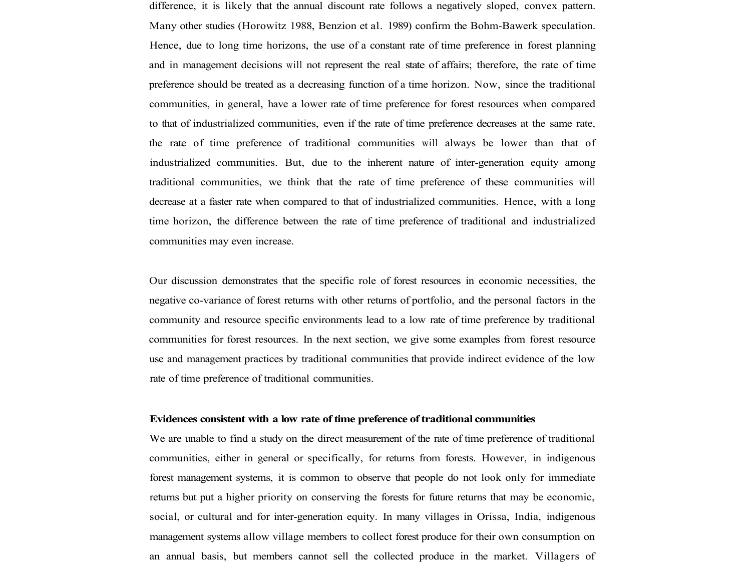difference, it is likely that the annual discount rate follows a negatively sloped, convex pattern. Many other studies (Horowitz 1988, Benzion et al. 1989) confirm the Bohm-Bawerk speculation. Hence, due to long time horizons, the use of a constant rate of time preference in forest planning and in management decisions will not represent the real state of affairs; therefore, the rate of time preference should be treated as a decreasing function of a time horizon. Now, since the traditional communities, in general, have a lower rate of time preference for forest resources when compared to that of industrialized communities, even if the rate of time preference decreases at the same rate, the rate of time preference of traditional communities will always be lower than that of industrialized communities. But, due to the inherent nature of inter-generation equity among traditional communities, we think that the rate of time preference of these communities will decrease at a faster rate when compared to that of industrialized communities. Hence, with a long time horizon, the difference between the rate of time preference of traditional and industrialized communities may even increase.

Our discussion demonstrates that the specific role of forest resources in economic necessities, the negative co-variance of forest returns with other returns of portfolio, and the personal factors in the community and resource specific environments lead to a low rate of time preference by traditional communities for forest resources. In the next section, we give some examples from forest resource use and management practices by traditional communities that provide indirect evidence of the low rate of time preference of traditional communities.

#### **Evidences consistent with a low rate of time preference of traditional communities**

We are unable to find a study on the direct measurement of the rate of time preference of traditional communities, either in general or specifically, for returns from forests. However, in indigenous forest management systems, it is common to observe that people do not look only for immediate returns but put a higher priority on conserving the forests for future returns that may be economic, social, or cultural and for inter-generation equity. In many villages in Orissa, India, indigenous management systems allow village members to collect forest produce for their own consumption on an annual basis, but members cannot sell the collected produce in the market. Villagers of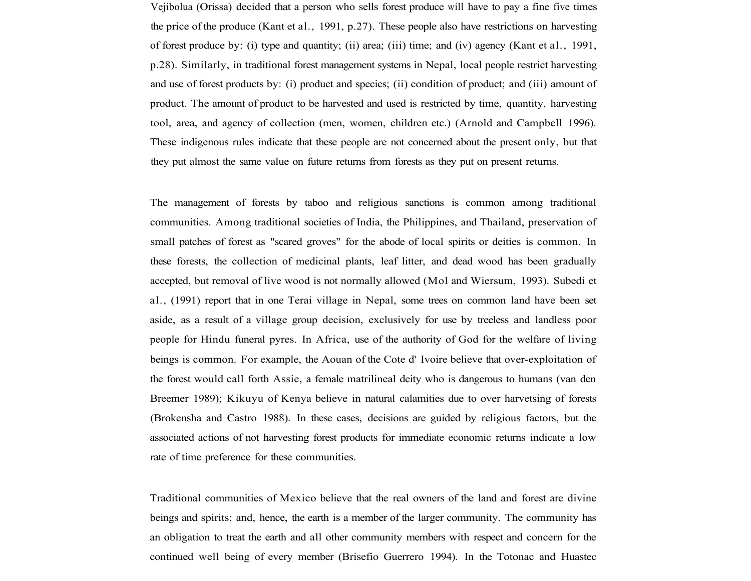Vejibolua (Orissa) decided that a person who sells forest produce will have to pay a fine five times the price of the produce (Kant et al., 1991, p.27). These people also have restrictions on harvesting of forest produce by: (i) type and quantity; (ii) area; (iii) time; and (iv) agency (Kant et al., 1991, p.28). Similarly, in traditional forest management systems in Nepal, local people restrict harvesting and use of forest products by: (i) product and species; (ii) condition of product; and (iii) amount of product. The amount of product to be harvested and used is restricted by time, quantity, harvesting tool, area, and agency of collection (men, women, children etc.) (Arnold and Campbell 1996). These indigenous rules indicate that these people are not concerned about the present only, but that they put almost the same value on future returns from forests as they put on present returns.

The management of forests by taboo and religious sanctions is common among traditional communities. Among traditional societies of India, the Philippines, and Thailand, preservation of small patches of forest as "scared groves" for the abode of local spirits or deities is common. In these forests, the collection of medicinal plants, leaf litter, and dead wood has been gradually accepted, but removal of live wood is not normally allowed (Mol and Wiersum, 1993). Subedi et al., (1991) report that in one Terai village in Nepal, some trees on common land have been set aside, as a result of a village group decision, exclusively for use by treeless and landless poor people for Hindu funeral pyres. In Africa, use of the authority of God for the welfare of living beings is common. For example, the Aouan of the Cote d' Ivoire believe that over-exploitation of the forest would call forth Assie, a female matrilineal deity who is dangerous to humans (van den Breemer 1989); Kikuyu of Kenya believe in natural calamities due to over harvetsing of forests (Brokensha and Castro 1988). In these cases, decisions are guided by religious factors, but the associated actions of not harvesting forest products for immediate economic returns indicate a low rate of time preference for these communities.

Traditional communities of Mexico believe that the real owners of the land and forest are divine beings and spirits; and, hence, the earth is a member of the larger community. The community has an obligation to treat the earth and all other community members with respect and concern for the continued well being of every member (Brisefio Guerrero 1994). In the Totonac and Huastec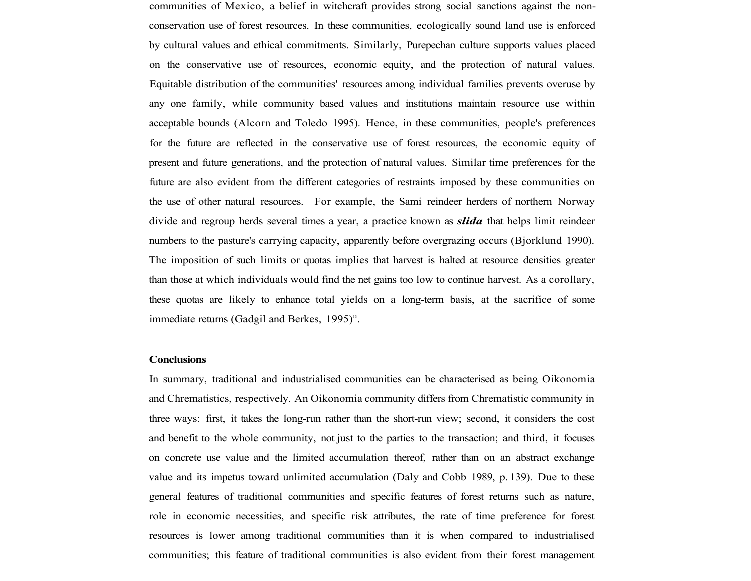communities of Mexico, a belief in witchcraft provides strong social sanctions against the nonconservation use of forest resources. In these communities, ecologically sound land use is enforced by cultural values and ethical commitments. Similarly, Purepechan culture supports values placed on the conservative use of resources, economic equity, and the protection of natural values. Equitable distribution of the communities' resources among individual families prevents overuse by any one family, while community based values and institutions maintain resource use within acceptable bounds (Alcorn and Toledo 1995). Hence, in these communities, people's preferences for the future are reflected in the conservative use of forest resources, the economic equity of present and future generations, and the protection of natural values. Similar time preferences for the future are also evident from the different categories of restraints imposed by these communities on the use of other natural resources. For example, the Sami reindeer herders of northern Norway divide and regroup herds several times a year, a practice known as *slida* that helps limit reindeer numbers to the pasture's carrying capacity, apparently before overgrazing occurs (Bjorklund 1990). The imposition of such limits or quotas implies that harvest is halted at resource densities greater than those at which individuals would find the net gains too low to continue harvest. As a corollary, these quotas are likely to enhance total yields on a long-term basis, at the sacrifice of some immediate returns (Gadgil and Berkes, 1995)<sup>13</sup>.

#### **Conclusions**

In summary, traditional and industrialised communities can be characterised as being Oikonomia and Chrematistics, respectively. An Oikonomia community differs from Chrematistic community in three ways: first, it takes the long-run rather than the short-run view; second, it considers the cost and benefit to the whole community, not just to the parties to the transaction; and third, it focuses on concrete use value and the limited accumulation thereof, rather than on an abstract exchange value and its impetus toward unlimited accumulation (Daly and Cobb 1989, p. 139). Due to these general features of traditional communities and specific features of forest returns such as nature, role in economic necessities, and specific risk attributes, the rate of time preference for forest resources is lower among traditional communities than it is when compared to industrialised communities; this feature of traditional communities is also evident from their forest management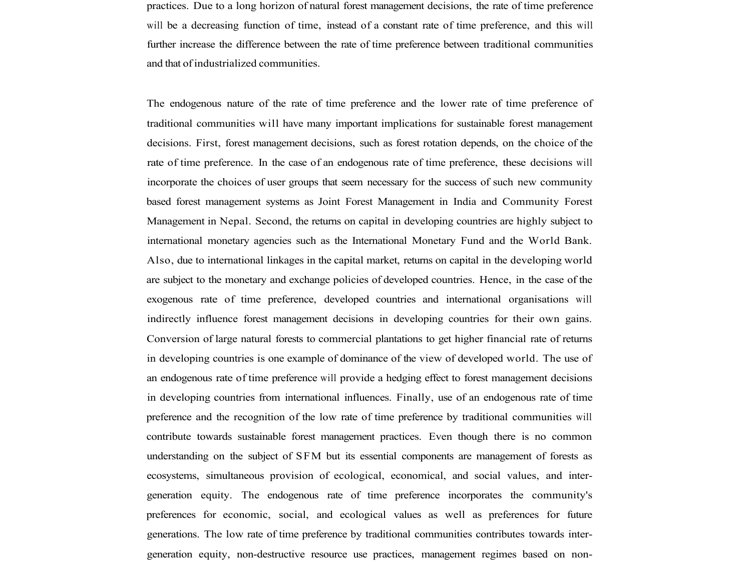practices. Due to a long horizon of natural forest management decisions, the rate of time preference will be a decreasing function of time, instead of a constant rate of time preference, and this will further increase the difference between the rate of time preference between traditional communities and that of industrialized communities.

The endogenous nature of the rate of time preference and the lower rate of time preference of traditional communities will have many important implications for sustainable forest management decisions. First, forest management decisions, such as forest rotation depends, on the choice of the rate of time preference. In the case of an endogenous rate of time preference, these decisions will incorporate the choices of user groups that seem necessary for the success of such new community based forest management systems as Joint Forest Management in India and Community Forest Management in Nepal. Second, the returns on capital in developing countries are highly subject to international monetary agencies such as the International Monetary Fund and the World Bank. Also, due to international linkages in the capital market, returns on capital in the developing world are subject to the monetary and exchange policies of developed countries. Hence, in the case of the exogenous rate of time preference, developed countries and international organisations will indirectly influence forest management decisions in developing countries for their own gains. Conversion of large natural forests to commercial plantations to get higher financial rate of returns in developing countries is one example of dominance of the view of developed world. The use of an endogenous rate of time preference will provide a hedging effect to forest management decisions in developing countries from international influences. Finally, use of an endogenous rate of time preference and the recognition of the low rate of time preference by traditional communities will contribute towards sustainable forest management practices. Even though there is no common understanding on the subject of SFM but its essential components are management of forests as ecosystems, simultaneous provision of ecological, economical, and social values, and intergeneration equity. The endogenous rate of time preference incorporates the community's preferences for economic, social, and ecological values as well as preferences for future generations. The low rate of time preference by traditional communities contributes towards intergeneration equity, non-destructive resource use practices, management regimes based on non-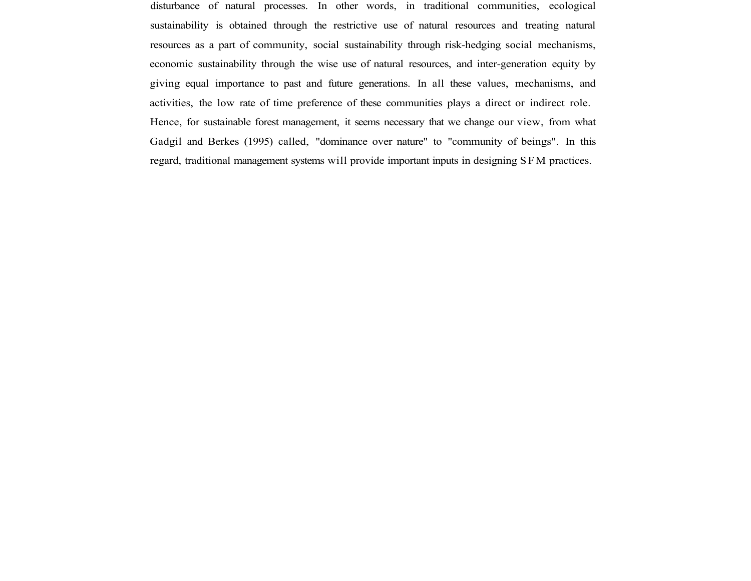disturbance of natural processes. In other words, in traditional communities, ecological sustainability is obtained through the restrictive use of natural resources and treating natural resources as a part of community, social sustainability through risk-hedging social mechanisms, economic sustainability through the wise use of natural resources, and inter-generation equity by giving equal importance to past and future generations. In all these values, mechanisms, and activities, the low rate of time preference of these communities plays a direct or indirect role. Hence, for sustainable forest management, it seems necessary that we change our view, from what Gadgil and Berkes (1995) called, "dominance over nature" to "community of beings". In this regard, traditional management systems will provide important inputs in designing SFM practices.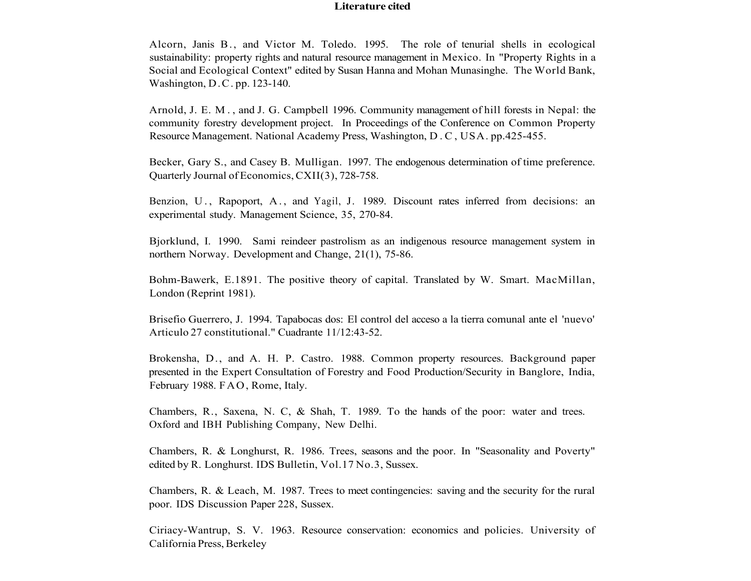### **Literature cited**

Alcorn, Janis B., and Victor M. Toledo. 1995. The role of tenurial shells in ecological sustainability: property rights and natural resource management in Mexico. In "Property Rights in a Social and Ecological Context" edited by Susan Hanna and Mohan Munasinghe. The World Bank, Washington, D.C. pp. 123-140.

Arnold, J. E. M. , and J. G. Campbell 1996. Community management of hill forests in Nepal: the community forestry development project. In Proceedings of the Conference on Common Property Resource Management. National Academy Press, Washington, D.C , USA. pp.425-455.

Becker, Gary S., and Casey B. Mulligan. 1997. The endogenous determination of time preference. Quarterly Journal of Economics, CXII(3), 728-758.

Benzion, U., Rapoport, A., and Yagil, J. 1989. Discount rates inferred from decisions: an experimental study. Management Science, 35, 270-84.

Bjorklund, I. 1990. Sami reindeer pastrolism as an indigenous resource management system in northern Norway. Development and Change, 21(1), 75-86.

Bohm-Bawerk, E.1891. The positive theory of capital. Translated by W. Smart. MacMillan, London (Reprint 1981).

Brisefio Guerrero, J. 1994. Tapabocas dos: El control del acceso a la tierra comunal ante el 'nuevo' Articulo 27 constitutional." Cuadrante 11/12:43-52.

Brokensha, D., and A. H. P. Castro. 1988. Common property resources. Background paper presented in the Expert Consultation of Forestry and Food Production/Security in Banglore, India, February 1988. FAO, Rome, Italy.

Chambers, R., Saxena, N. C, & Shah, T. 1989. To the hands of the poor: water and trees. Oxford and IBH Publishing Company, New Delhi.

Chambers, R. & Longhurst, R. 1986. Trees, seasons and the poor. In "Seasonality and Poverty" edited by R. Longhurst. IDS Bulletin, Vol.17 No.3, Sussex.

Chambers, R. & Leach, M. 1987. Trees to meet contingencies: saving and the security for the rural poor. IDS Discussion Paper 228, Sussex.

Ciriacy-Wantrup, S. V. 1963. Resource conservation: economics and policies. University of California Press, Berkeley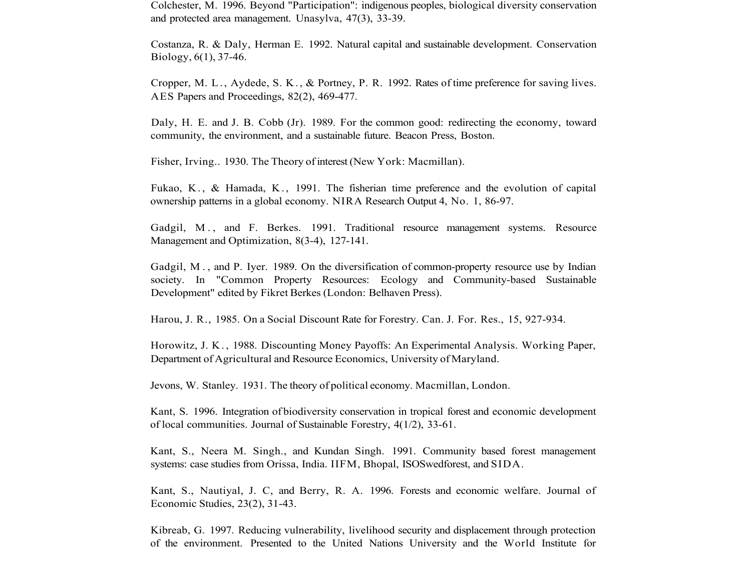Colchester, M. 1996. Beyond "Participation": indigenous peoples, biological diversity conservation and protected area management. Unasylva, 47(3), 33-39.

Costanza, R. & Daly, Herman E. 1992. Natural capital and sustainable development. Conservation Biology, 6(1), 37-46.

Cropper, M. L. , Aydede, S. K. , & Portney, P. R. 1992. Rates of time preference for saving lives. AES Papers and Proceedings, 82(2), 469-477.

Daly, H. E. and J. B. Cobb (Jr). 1989. For the common good: redirecting the economy, toward community, the environment, and a sustainable future. Beacon Press, Boston.

Fisher, Irving.. 1930. The Theory of interest (New York: Macmillan).

Fukao, K. , & Hamada, K. , 1991. The fisherian time preference and the evolution of capital ownership patterns in a global economy. NIRA Research Output 4, No. 1, 86-97.

Gadgil, M. , and F. Berkes. 1991. Traditional resource management systems. Resource Management and Optimization, 8(3-4), 127-141.

Gadgil, M. , and P. Iyer. 1989. On the diversification of common-property resource use by Indian society. In "Common Property Resources: Ecology and Community-based Sustainable Development" edited by Fikret Berkes (London: Belhaven Press).

Harou, J. R., 1985. On a Social Discount Rate for Forestry. Can. J. For. Res., 15, 927-934.

Horowitz, J. K. , 1988. Discounting Money Payoffs: An Experimental Analysis. Working Paper, Department of Agricultural and Resource Economics, University of Maryland.

Jevons, W. Stanley. 1931. The theory of political economy. Macmillan, London.

Kant, S. 1996. Integration of biodiversity conservation in tropical forest and economic development of local communities. Journal of Sustainable Forestry, 4(1/2), 33-61.

Kant, S., Neera M. Singh., and Kundan Singh. 1991. Community based forest management systems: case studies from Orissa, India. IIFM, Bhopal, ISOSwedforest, and SIDA.

Kant, S., Nautiyal, J. C, and Berry, R. A. 1996. Forests and economic welfare. Journal of Economic Studies, 23(2), 31-43.

Kibreab, G. 1997. Reducing vulnerability, livelihood security and displacement through protection of the environment. Presented to the United Nations University and the World Institute for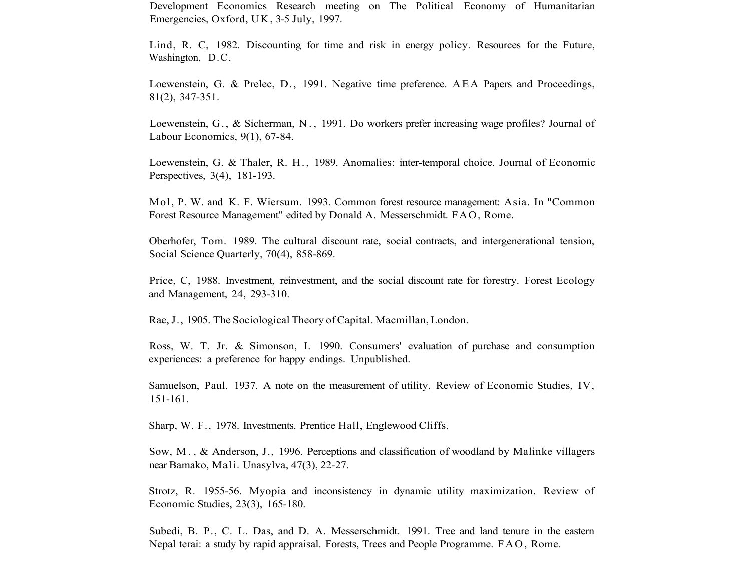Development Economics Research meeting on The Political Economy of Humanitarian Emergencies, Oxford, UK, 3-5 July, 1997.

Lind, R. C, 1982. Discounting for time and risk in energy policy. Resources for the Future, Washington, D.C.

Loewenstein, G. & Prelec, D., 1991. Negative time preference. AEA Papers and Proceedings, 81(2), 347-351.

Loewenstein, G., & Sicherman, N. , 1991. Do workers prefer increasing wage profiles? Journal of Labour Economics, 9(1), 67-84.

Loewenstein, G. & Thaler, R. H. , 1989. Anomalies: inter-temporal choice. Journal of Economic Perspectives, 3(4), 181-193.

Mol, P. W. and K. F. Wiersum. 1993. Common forest resource management: Asia. In "Common Forest Resource Management" edited by Donald A. Messerschmidt. FAO, Rome.

Oberhofer, Tom. 1989. The cultural discount rate, social contracts, and intergenerational tension, Social Science Quarterly, 70(4), 858-869.

Price, C, 1988. Investment, reinvestment, and the social discount rate for forestry. Forest Ecology and Management, 24, 293-310.

Rae, J., 1905. The Sociological Theory of Capital. Macmillan, London.

Ross, W. T. Jr. & Simonson, I. 1990. Consumers' evaluation of purchase and consumption experiences: a preference for happy endings. Unpublished.

Samuelson, Paul. 1937. A note on the measurement of utility. Review of Economic Studies, IV, 151-161.

Sharp, W. F., 1978. Investments. Prentice Hall, Englewood Cliffs.

Sow, M. , & Anderson, J., 1996. Perceptions and classification of woodland by Malinke villagers near Bamako, Mali. Unasylva, 47(3), 22-27.

Strotz, R. 1955-56. Myopia and inconsistency in dynamic utility maximization. Review of Economic Studies, 23(3), 165-180.

Subedi, B. P., C. L. Das, and D. A. Messerschmidt. 1991. Tree and land tenure in the eastern Nepal terai: a study by rapid appraisal. Forests, Trees and People Programme. FAO, Rome.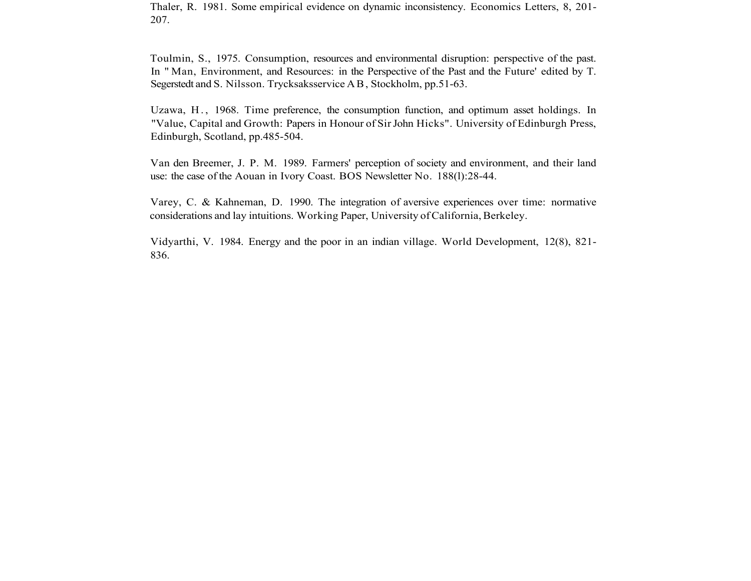Thaler, R. 1981. Some empirical evidence on dynamic inconsistency. Economics Letters, 8, 201- 207.

Toulmin, S., 1975. Consumption, resources and environmental disruption: perspective of the past. In " Man, Environment, and Resources: in the Perspective of the Past and the Future' edited by T. Segerstedt and S. Nilsson. Trycksaksservice AB, Stockholm, pp.51-63.

Uzawa, H. , 1968. Time preference, the consumption function, and optimum asset holdings. In "Value, Capital and Growth: Papers in Honour of Sir John Hicks". University of Edinburgh Press, Edinburgh, Scotland, pp.485-504.

Van den Breemer, J. P. M. 1989. Farmers' perception of society and environment, and their land use: the case of the Aouan in Ivory Coast. BOS Newsletter No. 188(l):28-44.

Varey, C. & Kahneman, D. 1990. The integration of aversive experiences over time: normative considerations and lay intuitions. Working Paper, University of California, Berkeley.

Vidyarthi, V. 1984. Energy and the poor in an indian village. World Development, 12(8), 821- 836.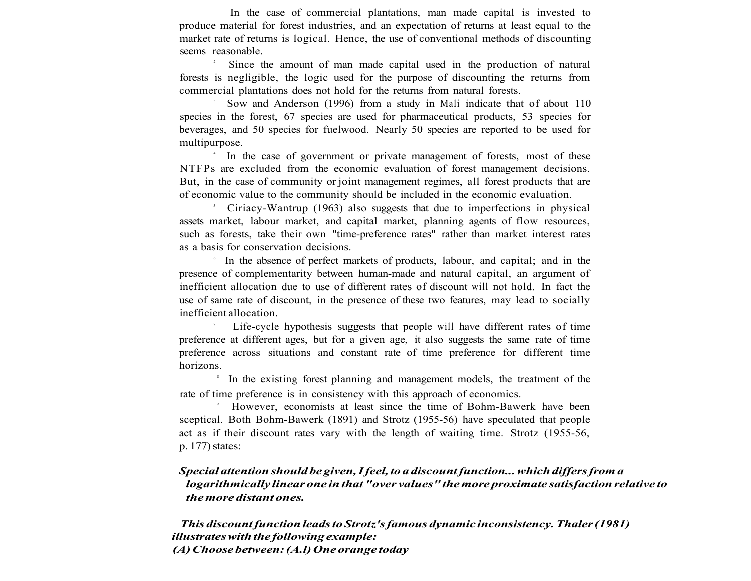In the case of commercial plantations, man made capital is invested to produce material for forest industries, and an expectation of returns at least equal to the market rate of returns is logical. Hence, the use of conventional methods of discounting seems reasonable.

2 Since the amount of man made capital used in the production of natural forests is negligible, the logic used for the purpose of discounting the returns from commercial plantations does not hold for the returns from natural forests.

3 Sow and Anderson (1996) from a study in Mali indicate that of about 110 species in the forest, 67 species are used for pharmaceutical products, 53 species for beverages, and 50 species for fuelwood. Nearly 50 species are reported to be used for multipurpose.

4 In the case of government or private management of forests, most of these NTFPs are excluded from the economic evaluation of forest management decisions. But, in the case of community or joint management regimes, all forest products that are of economic value to the community should be included in the economic evaluation.

5 Ciriacy-Wantrup (1963) also suggests that due to imperfections in physical assets market, labour market, and capital market, planning agents of flow resources, such as forests, take their own "time-preference rates" rather than market interest rates as a basis for conservation decisions.

6 In the absence of perfect markets of products, labour, and capital; and in the presence of complementarity between human-made and natural capital, an argument of inefficient allocation due to use of different rates of discount will not hold. In fact the use of same rate of discount, in the presence of these two features, may lead to socially inefficient allocation.

7 Life-cycle hypothesis suggests that people will have different rates of time preference at different ages, but for a given age, it also suggests the same rate of time preference across situations and constant rate of time preference for different time horizons.

<sup>8</sup> In the existing forest planning and management models, the treatment of the rate of time preference is in consistency with this approach of economics.

9 However, economists at least since the time of Bohm-Bawerk have been sceptical. Both Bohm-Bawerk (1891) and Strotz (1955-56) have speculated that people act as if their discount rates vary with the length of waiting time. Strotz (1955-56, p. 177) states:

# *Special attention should be given, I feel, to a discount function... which differs from a logarithmically linear one in that "over values" the more proximate satisfaction relative to the more distant ones.*

*This discount function leads to Strotz's famous dynamic inconsistency. Thaler (1981) illustrates with the following example: (A) Choose between: (A.l) One orange today*